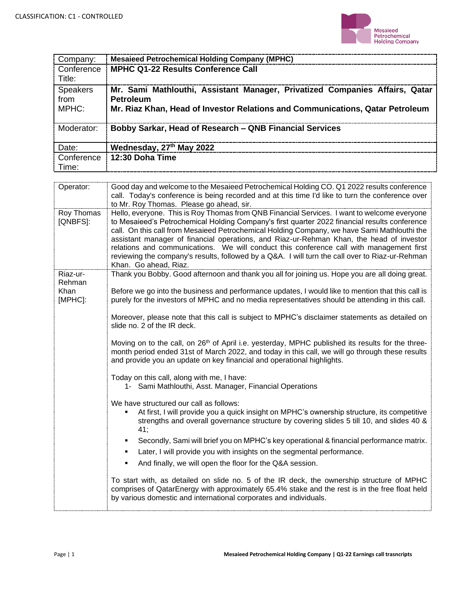

| Company:                         | <b>Mesaieed Petrochemical Holding Company (MPHC)</b>                                                                                                                      |
|----------------------------------|---------------------------------------------------------------------------------------------------------------------------------------------------------------------------|
| Conference<br>Title:             | <b>MPHC Q1-22 Results Conference Call</b>                                                                                                                                 |
| <b>Speakers</b><br>from<br>MPHC: | Mr. Sami Mathlouthi, Assistant Manager, Privatized Companies Affairs, Qatar<br>Petroleum<br>Mr. Riaz Khan, Head of Investor Relations and Communications, Qatar Petroleum |
| Moderator:                       | Bobby Sarkar, Head of Research – QNB Financial Services                                                                                                                   |
| Date:                            | Wednesday, 27th May 2022                                                                                                                                                  |
| Conference<br>Time:              | 12:30 Doha Time                                                                                                                                                           |

| Operator:              | Good day and welcome to the Mesaieed Petrochemical Holding CO. Q1 2022 results conference                                                                                                                                                                                                                                                                                                                                                                                                                                                                                                                       |
|------------------------|-----------------------------------------------------------------------------------------------------------------------------------------------------------------------------------------------------------------------------------------------------------------------------------------------------------------------------------------------------------------------------------------------------------------------------------------------------------------------------------------------------------------------------------------------------------------------------------------------------------------|
|                        | call. Today's conference is being recorded and at this time I'd like to turn the conference over                                                                                                                                                                                                                                                                                                                                                                                                                                                                                                                |
|                        | to Mr. Roy Thomas. Please go ahead, sir.                                                                                                                                                                                                                                                                                                                                                                                                                                                                                                                                                                        |
| Roy Thomas<br>[QNBFS]: | Hello, everyone. This is Roy Thomas from QNB Financial Services. I want to welcome everyone<br>to Mesaieed's Petrochemical Holding Company's first quarter 2022 financial results conference<br>call. On this call from Mesaieed Petrochemical Holding Company, we have Sami Mathlouthi the<br>assistant manager of financial operations, and Riaz-ur-Rehman Khan, the head of investor<br>relations and communications. We will conduct this conference call with management first<br>reviewing the company's results, followed by a Q&A. I will turn the call over to Riaz-ur-Rehman<br>Khan. Go ahead, Riaz. |
| Riaz-ur-<br>Rehman     | Thank you Bobby. Good afternoon and thank you all for joining us. Hope you are all doing great.                                                                                                                                                                                                                                                                                                                                                                                                                                                                                                                 |
| Khan<br>[MPHC]:        | Before we go into the business and performance updates, I would like to mention that this call is<br>purely for the investors of MPHC and no media representatives should be attending in this call.                                                                                                                                                                                                                                                                                                                                                                                                            |
|                        | Moreover, please note that this call is subject to MPHC's disclaimer statements as detailed on<br>slide no. 2 of the IR deck.                                                                                                                                                                                                                                                                                                                                                                                                                                                                                   |
|                        | Moving on to the call, on 26 <sup>th</sup> of April i.e. yesterday, MPHC published its results for the three-<br>month period ended 31st of March 2022, and today in this call, we will go through these results<br>and provide you an update on key financial and operational highlights.                                                                                                                                                                                                                                                                                                                      |
|                        | Today on this call, along with me, I have:<br>1- Sami Mathlouthi, Asst. Manager, Financial Operations                                                                                                                                                                                                                                                                                                                                                                                                                                                                                                           |
|                        | We have structured our call as follows:<br>At first, I will provide you a quick insight on MPHC's ownership structure, its competitive<br>strengths and overall governance structure by covering slides 5 till 10, and slides 40 &<br>41;                                                                                                                                                                                                                                                                                                                                                                       |
|                        | Secondly, Sami will brief you on MPHC's key operational & financial performance matrix.<br>٠<br>Later, I will provide you with insights on the segmental performance.<br>٠                                                                                                                                                                                                                                                                                                                                                                                                                                      |
|                        | And finally, we will open the floor for the Q&A session.<br>$\blacksquare$                                                                                                                                                                                                                                                                                                                                                                                                                                                                                                                                      |
|                        | To start with, as detailed on slide no. 5 of the IR deck, the ownership structure of MPHC<br>comprises of QatarEnergy with approximately 65.4% stake and the rest is in the free float held<br>by various domestic and international corporates and individuals.                                                                                                                                                                                                                                                                                                                                                |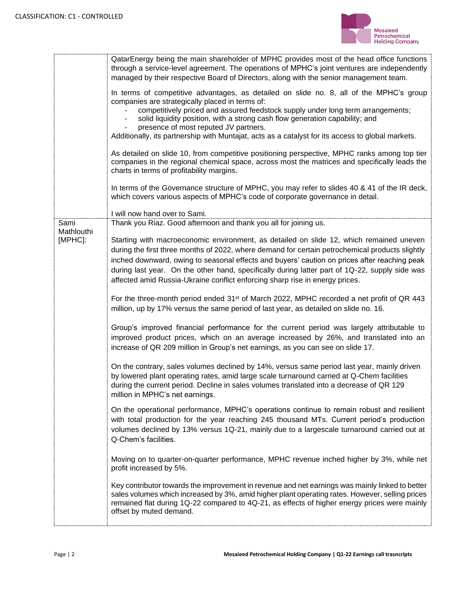

|                       | QatarEnergy being the main shareholder of MPHC provides most of the head office functions<br>through a service-level agreement. The operations of MPHC's joint ventures are independently<br>managed by their respective Board of Directors, along with the senior management team.<br>In terms of competitive advantages, as detailed on slide no. 8, all of the MPHC's group<br>companies are strategically placed in terms of:<br>competitively priced and assured feedstock supply under long term arrangements;<br>solid liquidity position, with a strong cash flow generation capability; and<br>presence of most reputed JV partners.<br>Additionally, its partnership with Muntajat, acts as a catalyst for its access to global markets.<br>As detailed on slide 10, from competitive positioning perspective, MPHC ranks among top tier<br>companies in the regional chemical space, across most the matrices and specifically leads the<br>charts in terms of profitability margins.<br>In terms of the Governance structure of MPHC, you may refer to slides 40 & 41 of the IR deck,<br>which covers various aspects of MPHC's code of corporate governance in detail. |
|-----------------------|-------------------------------------------------------------------------------------------------------------------------------------------------------------------------------------------------------------------------------------------------------------------------------------------------------------------------------------------------------------------------------------------------------------------------------------------------------------------------------------------------------------------------------------------------------------------------------------------------------------------------------------------------------------------------------------------------------------------------------------------------------------------------------------------------------------------------------------------------------------------------------------------------------------------------------------------------------------------------------------------------------------------------------------------------------------------------------------------------------------------------------------------------------------------------------------|
|                       | I will now hand over to Sami.                                                                                                                                                                                                                                                                                                                                                                                                                                                                                                                                                                                                                                                                                                                                                                                                                                                                                                                                                                                                                                                                                                                                                       |
| Sami                  | Thank you Riaz. Good afternoon and thank you all for joining us.                                                                                                                                                                                                                                                                                                                                                                                                                                                                                                                                                                                                                                                                                                                                                                                                                                                                                                                                                                                                                                                                                                                    |
| Mathlouthi<br>[MPHC]: | Starting with macroeconomic environment, as detailed on slide 12, which remained uneven<br>during the first three months of 2022, where demand for certain petrochemical products slightly<br>inched downward, owing to seasonal effects and buyers' caution on prices after reaching peak<br>during last year. On the other hand, specifically during latter part of 1Q-22, supply side was<br>affected amid Russia-Ukraine conflict enforcing sharp rise in energy prices.                                                                                                                                                                                                                                                                                                                                                                                                                                                                                                                                                                                                                                                                                                        |
|                       | For the three-month period ended 31 <sup>st</sup> of March 2022, MPHC recorded a net profit of QR 443<br>million, up by 17% versus the same period of last year, as detailed on slide no. 16.                                                                                                                                                                                                                                                                                                                                                                                                                                                                                                                                                                                                                                                                                                                                                                                                                                                                                                                                                                                       |
|                       | Group's improved financial performance for the current period was largely attributable to<br>improved product prices, which on an average increased by 26%, and translated into an<br>increase of QR 209 million in Group's net earnings, as you can see on slide 17.                                                                                                                                                                                                                                                                                                                                                                                                                                                                                                                                                                                                                                                                                                                                                                                                                                                                                                               |
|                       | On the contrary, sales volumes declined by 14%, versus same period last year, mainly driven<br>by lowered plant operating rates, amid large scale turnaround carried at Q-Chem facilities<br>during the current period. Decline in sales volumes translated into a decrease of QR 129<br>million in MPHC's net earnings.                                                                                                                                                                                                                                                                                                                                                                                                                                                                                                                                                                                                                                                                                                                                                                                                                                                            |
|                       | On the operational performance, MPHC's operations continue to remain robust and resilient<br>with total production for the year reaching 245 thousand MTs. Current period's production<br>volumes declined by 13% versus 1Q-21, mainly due to a largescale turnaround carried out at<br>Q-Chem's facilities.                                                                                                                                                                                                                                                                                                                                                                                                                                                                                                                                                                                                                                                                                                                                                                                                                                                                        |
|                       | Moving on to quarter-on-quarter performance, MPHC revenue inched higher by 3%, while net<br>profit increased by 5%.                                                                                                                                                                                                                                                                                                                                                                                                                                                                                                                                                                                                                                                                                                                                                                                                                                                                                                                                                                                                                                                                 |
|                       | Key contributor towards the improvement in revenue and net earnings was mainly linked to better<br>sales volumes which increased by 3%, amid higher plant operating rates. However, selling prices<br>remained flat during 1Q-22 compared to 4Q-21, as effects of higher energy prices were mainly<br>offset by muted demand.                                                                                                                                                                                                                                                                                                                                                                                                                                                                                                                                                                                                                                                                                                                                                                                                                                                       |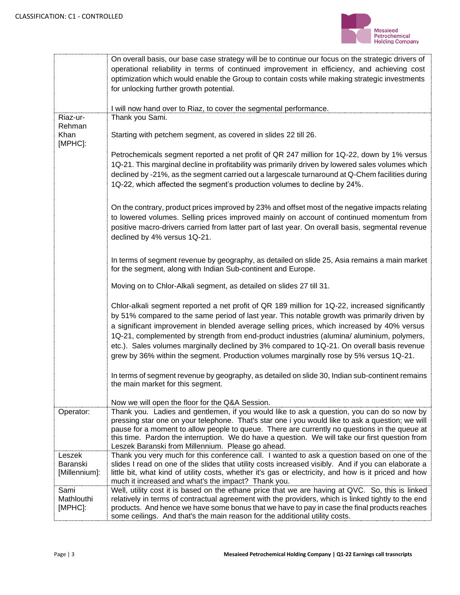

|                           | On overall basis, our base case strategy will be to continue our focus on the strategic drivers of                                                |
|---------------------------|---------------------------------------------------------------------------------------------------------------------------------------------------|
|                           | operational reliability in terms of continued improvement in efficiency, and achieving cost                                                       |
|                           | optimization which would enable the Group to contain costs while making strategic investments                                                     |
|                           | for unlocking further growth potential.                                                                                                           |
|                           |                                                                                                                                                   |
|                           | I will now hand over to Riaz, to cover the segmental performance.                                                                                 |
| Riaz-ur-                  | Thank you Sami.                                                                                                                                   |
| Rehman                    |                                                                                                                                                   |
| Khan                      | Starting with petchem segment, as covered in slides 22 till 26.                                                                                   |
| [MPHC]:                   |                                                                                                                                                   |
|                           | Petrochemicals segment reported a net profit of QR 247 million for 1Q-22, down by 1% versus                                                       |
|                           | 1Q-21. This marginal decline in profitability was primarily driven by lowered sales volumes which                                                 |
|                           | declined by -21%, as the segment carried out a largescale turnaround at Q-Chem facilities during                                                  |
|                           | 1Q-22, which affected the segment's production volumes to decline by 24%.                                                                         |
|                           |                                                                                                                                                   |
|                           |                                                                                                                                                   |
|                           | On the contrary, product prices improved by 23% and offset most of the negative impacts relating                                                  |
|                           | to lowered volumes. Selling prices improved mainly on account of continued momentum from                                                          |
|                           | positive macro-drivers carried from latter part of last year. On overall basis, segmental revenue                                                 |
|                           | declined by 4% versus 1Q-21.                                                                                                                      |
|                           |                                                                                                                                                   |
|                           | In terms of segment revenue by geography, as detailed on slide 25, Asia remains a main market                                                     |
|                           | for the segment, along with Indian Sub-continent and Europe.                                                                                      |
|                           |                                                                                                                                                   |
|                           | Moving on to Chlor-Alkali segment, as detailed on slides 27 till 31.                                                                              |
|                           |                                                                                                                                                   |
|                           | Chlor-alkali segment reported a net profit of QR 189 million for 1Q-22, increased significantly                                                   |
|                           | by 51% compared to the same period of last year. This notable growth was primarily driven by                                                      |
|                           | a significant improvement in blended average selling prices, which increased by 40% versus                                                        |
|                           | 1Q-21, complemented by strength from end-product industries (alumina/ aluminium, polymers,                                                        |
|                           | etc.). Sales volumes marginally declined by 3% compared to 1Q-21. On overall basis revenue                                                        |
|                           | grew by 36% within the segment. Production volumes marginally rose by 5% versus 1Q-21.                                                            |
|                           |                                                                                                                                                   |
|                           | In terms of segment revenue by geography, as detailed on slide 30, Indian sub-continent remains                                                   |
|                           | the main market for this segment.                                                                                                                 |
|                           |                                                                                                                                                   |
|                           | Now we will open the floor for the Q&A Session.                                                                                                   |
| Operator:                 | Thank you. Ladies and gentlemen, if you would like to ask a question, you can do so now by                                                        |
|                           | pressing star one on your telephone. That's star one i you would like to ask a question; we will                                                  |
|                           | pause for a moment to allow people to queue. There are currently no questions in the queue at                                                     |
|                           | this time. Pardon the interruption. We do have a question. We will take our first question from                                                   |
|                           | Leszek Baranski from Millennium. Please go ahead.<br>Thank you very much for this conference call. I wanted to ask a question based on one of the |
| Leszek<br><b>Baranski</b> | slides I read on one of the slides that utility costs increased visibly. And if you can elaborate a                                               |
| [Millennium]:             | little bit, what kind of utility costs, whether it's gas or electricity, and how is it priced and how                                             |
|                           | much it increased and what's the impact? Thank you.                                                                                               |
| Sami                      | Well, utility cost it is based on the ethane price that we are having at QVC. So, this is linked                                                  |
| Mathlouthi                | relatively in terms of contractual agreement with the providers, which is linked tightly to the end                                               |
| [MPHC]:                   | products. And hence we have some bonus that we have to pay in case the final products reaches                                                     |
|                           | some ceilings. And that's the main reason for the additional utility costs.                                                                       |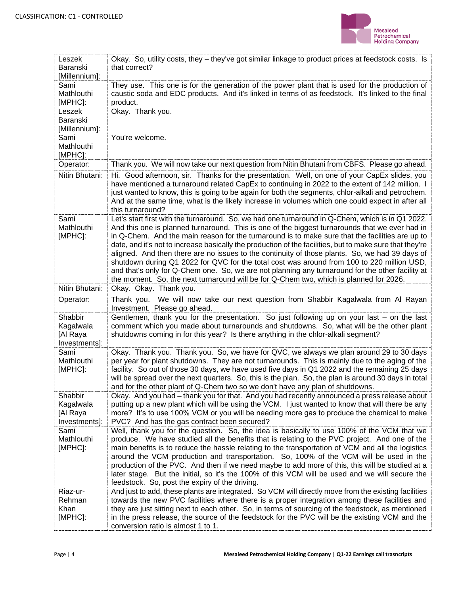

| Leszek<br>Baranski<br>[Millennium]:               | Okay. So, utility costs, they - they've got similar linkage to product prices at feedstock costs. Is<br>that correct?                                                                                                                                                                                                                                                                                                                                                                                                                                                                                                                                                                                                                                                                                           |
|---------------------------------------------------|-----------------------------------------------------------------------------------------------------------------------------------------------------------------------------------------------------------------------------------------------------------------------------------------------------------------------------------------------------------------------------------------------------------------------------------------------------------------------------------------------------------------------------------------------------------------------------------------------------------------------------------------------------------------------------------------------------------------------------------------------------------------------------------------------------------------|
| Sami<br>Mathlouthi<br>[MPHC]:                     | They use. This one is for the generation of the power plant that is used for the production of<br>caustic soda and EDC products. And it's linked in terms of as feedstock. It's linked to the final<br>product.                                                                                                                                                                                                                                                                                                                                                                                                                                                                                                                                                                                                 |
| Leszek<br><b>Baranski</b><br>[Millennium]:        | Okay. Thank you.                                                                                                                                                                                                                                                                                                                                                                                                                                                                                                                                                                                                                                                                                                                                                                                                |
| Sami<br>Mathlouthi<br>[MPHC]:                     | You're welcome.                                                                                                                                                                                                                                                                                                                                                                                                                                                                                                                                                                                                                                                                                                                                                                                                 |
| Operator:                                         | Thank you. We will now take our next question from Nitin Bhutani from CBFS. Please go ahead.                                                                                                                                                                                                                                                                                                                                                                                                                                                                                                                                                                                                                                                                                                                    |
| Nitin Bhutani:                                    | Hi. Good afternoon, sir. Thanks for the presentation. Well, on one of your CapEx slides, you<br>have mentioned a turnaround related CapEx to continuing in 2022 to the extent of 142 million. I<br>just wanted to know, this is going to be again for both the segments, chlor-alkali and petrochem.<br>And at the same time, what is the likely increase in volumes which one could expect in after all<br>this turnaround?                                                                                                                                                                                                                                                                                                                                                                                    |
| Sami<br>Mathlouthi<br>[MPHC]:                     | Let's start first with the turnaround. So, we had one turnaround in Q-Chem, which is in Q1 2022.<br>And this one is planned turnaround. This is one of the biggest turnarounds that we ever had in<br>in Q-Chem. And the main reason for the turnaround is to make sure that the facilities are up to<br>date, and it's not to increase basically the production of the facilities, but to make sure that they're<br>aligned. And then there are no issues to the continuity of those plants. So, we had 39 days of<br>shutdown during Q1 2022 for QVC for the total cost was around from 100 to 220 million USD,<br>and that's only for Q-Chem one. So, we are not planning any turnaround for the other facility at<br>the moment. So, the next turnaround will be for Q-Chem two, which is planned for 2026. |
| Nitin Bhutani:                                    | Okay. Okay. Thank you.                                                                                                                                                                                                                                                                                                                                                                                                                                                                                                                                                                                                                                                                                                                                                                                          |
| Operator:                                         | Thank you. We will now take our next question from Shabbir Kagalwala from Al Rayan<br>Investment. Please go ahead.                                                                                                                                                                                                                                                                                                                                                                                                                                                                                                                                                                                                                                                                                              |
| Shabbir<br>Kagalwala<br>[Al Raya<br>Investments]: | Gentlemen, thank you for the presentation. So just following up on your last – on the last<br>comment which you made about turnarounds and shutdowns. So, what will be the other plant<br>shutdowns coming in for this year? Is there anything in the chlor-alkali segment?                                                                                                                                                                                                                                                                                                                                                                                                                                                                                                                                     |
| Sami<br>Mathlouthi<br>[MPHC]:                     | Okay. Thank you. Thank you. So, we have for QVC, we always we plan around 29 to 30 days<br>per year for plant shutdowns. They are not turnarounds. This is mainly due to the aging of the<br>facility. So out of those 30 days, we have used five days in Q1 2022 and the remaining 25 days<br>will be spread over the next quarters. So, this is the plan. So, the plan is around 30 days in total<br>and for the other plant of Q-Chem two so we don't have any plan of shutdowns.                                                                                                                                                                                                                                                                                                                            |
| Shabbir<br>Kagalwala<br>[Al Raya<br>Investments]: | Okay. And you had - thank you for that. And you had recently announced a press release about<br>putting up a new plant which will be using the VCM. I just wanted to know that will there be any<br>more? It's to use 100% VCM or you will be needing more gas to produce the chemical to make<br>PVC? And has the gas contract been secured?                                                                                                                                                                                                                                                                                                                                                                                                                                                                   |
| Sami<br>Mathlouthi<br>[MPHC]:                     | Well, thank you for the question. So, the idea is basically to use 100% of the VCM that we<br>produce. We have studied all the benefits that is relating to the PVC project. And one of the<br>main benefits is to reduce the hassle relating to the transportation of VCM and all the logistics<br>around the VCM production and transportation. So, 100% of the VCM will be used in the<br>production of the PVC. And then if we need maybe to add more of this, this will be studied at a<br>later stage. But the initial, so it's the 100% of this VCM will be used and we will secure the<br>feedstock. So, post the expiry of the driving.                                                                                                                                                                |
| Riaz-ur-<br>Rehman<br>Khan<br>[MPHC]:             | And just to add, these plants are integrated. So VCM will directly move from the existing facilities<br>towards the new PVC facilities where there is a proper integration among these facilities and<br>they are just sitting next to each other. So, in terms of sourcing of the feedstock, as mentioned<br>in the press release, the source of the feedstock for the PVC will be the existing VCM and the<br>conversion ratio is almost 1 to 1.                                                                                                                                                                                                                                                                                                                                                              |